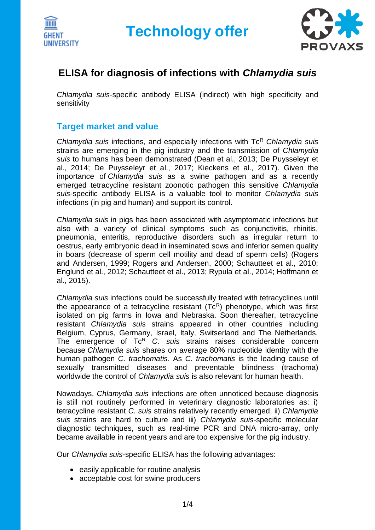



## **ELISA for diagnosis of infections with** *Chlamydia suis*

*Chlamydia suis*-specific antibody ELISA (indirect) with high specificity and sensitivity

### **Target market and value**

*Chlamydia suis* infections, and especially infections with Tc<sup>R</sup> *Chlamydia suis* strains are emerging in the pig industry and the transmission of *Chlamydia suis* to humans has been demonstrated (Dean et al., 2013; De Puysseleyr et al., 2014; De Puysseleyr et al., 2017; Kieckens et al., 2017). Given the importance of *Chlamydia suis* as a swine pathogen and as a recently emerged tetracycline resistant zoonotic pathogen this sensitive *Chlamydia suis*-specific antibody ELISA is a valuable tool to monitor *Chlamydia suis* infections (in pig and human) and support its control.

*Chlamydia suis* in pigs has been associated with asymptomatic infections but also with a variety of clinical symptoms such as conjunctivitis, rhinitis, pneumonia, enteritis, reproductive disorders such as irregular return to oestrus, early embryonic dead in inseminated sows and inferior semen quality in boars (decrease of sperm cell motility and dead of sperm cells) (Rogers and Andersen, 1999; Rogers and Andersen, 2000; Schautteet et al., 2010; Englund et al., 2012; Schautteet et al., 2013; Rypula et al., 2014; Hoffmann et al., 2015).

*Chlamydia suis* infections could be successfully treated with tetracyclines until the appearance of a tetracycline resistant  $(Tc<sup>R</sup>)$  phenotype, which was first isolated on pig farms in Iowa and Nebraska. Soon thereafter, tetracycline resistant *Chlamydia suis* strains appeared in other countries including Belgium, Cyprus, Germany, Israel, Italy, Switserland and The Netherlands. The emergence of Tc<sup>R</sup> C. suis strains raises considerable concern because *Chlamydia suis* shares on average 80% nucleotide identity with the human pathogen *C. trachomatis*. As *C. trachomatis* is the leading cause of sexually transmitted diseases and preventable blindness (trachoma) worldwide the control of *Chlamydia suis* is also relevant for human health.

Nowadays, *Chlamydia suis* infections are often unnoticed because diagnosis is still not routinely performed in veterinary diagnostic laboratories as: i) tetracycline resistant *C. suis* strains relatively recently emerged, ii) *Chlamydia suis* strains are hard to culture and iii) *Chlamydia suis*-specific molecular diagnostic techniques, such as real-time PCR and DNA micro-array, only became available in recent years and are too expensive for the pig industry.

Our *Chlamydia suis*-specific ELISA has the following advantages:

- easily applicable for routine analysis
- acceptable cost for swine producers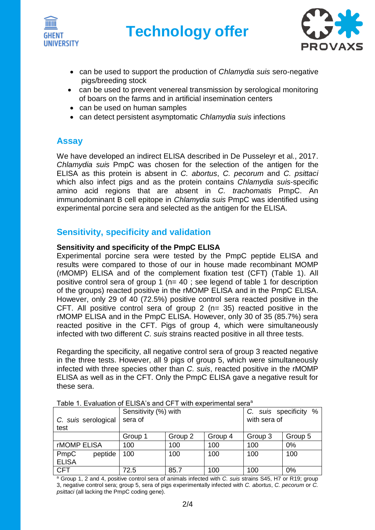



- can be used to support the production of *Chlamydia suis* sero-negative pigs/breeding stock
- can be used to prevent venereal transmission by serological monitoring of boars on the farms and in artificial insemination centers
- can be used on human samples
- can detect persistent asymptomatic *Chlamydia suis* infections

### **Assay**

We have developed an indirect ELISA described in De Pusseleyr et al., 2017. *Chlamydia suis* PmpC was chosen for the selection of the antigen for the ELISA as this protein is absent in *C. abortus*, *C. pecorum* and *C. psittaci* which also infect pigs and as the protein contains *Chlamydia suis*-specific amino acid regions that are absent in *C. trachomatis* PmpC. An immunodominant B cell epitope in *Chlamydia suis* PmpC was identified using experimental porcine sera and selected as the antigen for the ELISA.

### **Sensitivity, specificity and validation**

### **Sensitivity and specificity of the PmpC ELISA**

Experimental porcine sera were tested by the PmpC peptide ELISA and results were compared to those of our in house made recombinant MOMP (rMOMP) ELISA and of the complement fixation test (CFT) (Table 1). All positive control sera of group 1 (n= 40 ; see legend of table 1 for description of the groups) reacted positive in the rMOMP ELISA and in the PmpC ELISA. However, only 29 of 40 (72.5%) positive control sera reacted positive in the CFT. All positive control sera of group  $2$  (n= 35) reacted positive in the rMOMP ELISA and in the PmpC ELISA. However, only 30 of 35 (85.7%) sera reacted positive in the CFT. Pigs of group 4, which were simultaneously infected with two different *C. suis* strains reacted positive in all three tests.

Regarding the specificity, all negative control sera of group 3 reacted negative in the three tests. However, all 9 pigs of group 5, which were simultaneously infected with three species other than *C. suis*, reacted positive in the rMOMP ELISA as well as in the CFT. Only the PmpC ELISA gave a negative result for these sera.

| Table T. Evaluation of EEIOA 5 and Of T With CADChinghiai Scia |         |                      |         |         |                             |  |  |
|----------------------------------------------------------------|---------|----------------------|---------|---------|-----------------------------|--|--|
|                                                                |         | Sensitivity (%) with |         |         | $\%$<br>C. suis specificity |  |  |
| C. suis serological                                            |         | sera of              |         |         | with sera of                |  |  |
| test                                                           |         |                      |         |         |                             |  |  |
|                                                                | Group 1 | Group 2              | Group 4 | Group 3 | Group 5                     |  |  |
| rMOMP ELISA                                                    | 100     | 100                  | 100     | 100     | 0%                          |  |  |
| PmpC<br>peptide                                                | 100     | 100                  | 100     | 100     | 100                         |  |  |
| <b>ELISA</b>                                                   |         |                      |         |         |                             |  |  |
| <b>CFT</b>                                                     | 72.5    | 85.7                 | 100     | 100     | 0%                          |  |  |

Table 1. Evaluation of ELISA's and CET with experimental sera<sup>a</sup>

<sup>a</sup> Group 1, 2 and 4, positive control sera of animals infected with *C. suis* strains S45, H7 or R19; group 3, negative control sera; group 5, sera of pigs experimentally infected with *C. abortus*, *C. pecorum* or *C. psittaci* (all lacking the PmpC coding gene).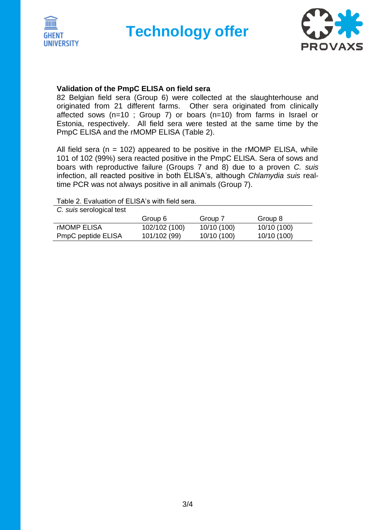



#### **Validation of the PmpC ELISA on field sera**

82 Belgian field sera (Group 6) were collected at the slaughterhouse and originated from 21 different farms. Other sera originated from clinically affected sows (n=10 ; Group 7) or boars (n=10) from farms in Israel or Estonia, respectively. All field sera were tested at the same time by the PmpC ELISA and the rMOMP ELISA (Table 2).

All field sera ( $n = 102$ ) appeared to be positive in the rMOMP ELISA, while 101 of 102 (99%) sera reacted positive in the PmpC ELISA. Sera of sows and boars with reproductive failure (Groups 7 and 8) due to a proven *C. suis* infection, all reacted positive in both ELISA's, although *Chlamydia suis* realtime PCR was not always positive in all animals (Group 7).

Table 2. Evaluation of ELISA's with field sera.

| C. suis serological test  |               |             |             |  |  |  |
|---------------------------|---------------|-------------|-------------|--|--|--|
|                           | Group 6       | Group 7     | Group 8     |  |  |  |
| <b>rMOMP ELISA</b>        | 102/102 (100) | 10/10 (100) | 10/10 (100) |  |  |  |
| <b>PmpC peptide ELISA</b> | 101/102 (99)  | 10/10 (100) | 10/10 (100) |  |  |  |